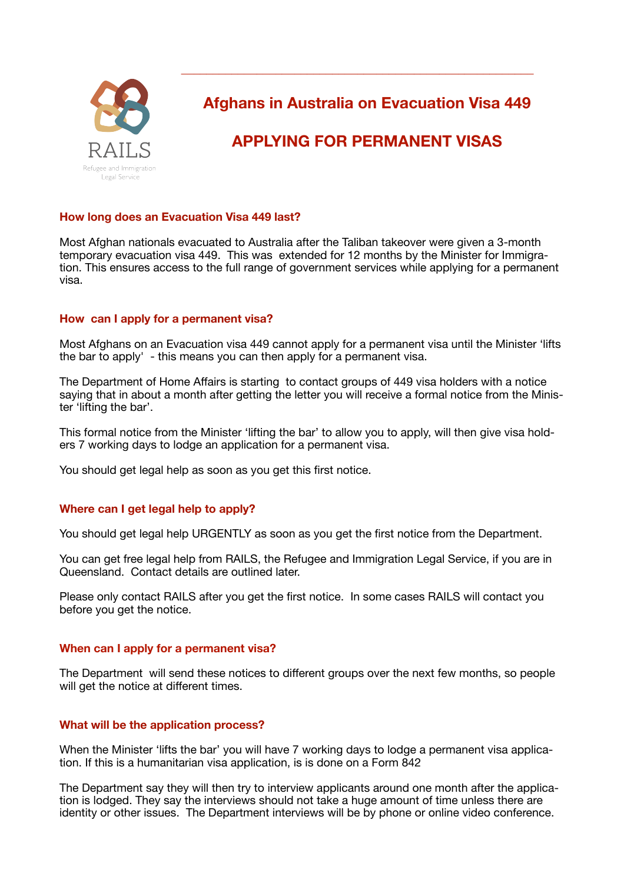

**Afghans in Australia on Evacuation Visa 449** 

**\_\_\_\_\_\_\_\_\_\_\_\_\_\_\_\_\_\_\_\_\_\_\_\_\_\_\_\_\_\_\_\_\_\_\_\_\_\_\_\_\_\_\_\_\_\_\_\_\_\_\_\_\_\_\_\_**

# **APPLYING FOR PERMANENT VISAS**

# **How long does an Evacuation Visa 449 last?**

Most Afghan nationals evacuated to Australia after the Taliban takeover were given a 3-month temporary evacuation visa 449. This was extended for 12 months by the Minister for Immigration. This ensures access to the full range of government services while applying for a permanent visa.

## **How can I apply for a permanent visa?**

Most Afghans on an Evacuation visa 449 cannot apply for a permanent visa until the Minister 'lifts the bar to apply' - this means you can then apply for a permanent visa.

The Department of Home Affairs is starting to contact groups of 449 visa holders with a notice saying that in about a month after getting the letter you will receive a formal notice from the Minister 'lifting the bar'.

This formal notice from the Minister 'lifting the bar' to allow you to apply, will then give visa holders 7 working days to lodge an application for a permanent visa.

You should get legal help as soon as you get this first notice.

# **Where can I get legal help to apply?**

You should get legal help URGENTLY as soon as you get the first notice from the Department.

You can get free legal help from RAILS, the Refugee and Immigration Legal Service, if you are in Queensland. Contact details are outlined later.

Please only contact RAILS after you get the first notice. In some cases RAILS will contact you before you get the notice.

#### **When can I apply for a permanent visa?**

The Department will send these notices to different groups over the next few months, so people will get the notice at different times.

#### **What will be the application process?**

When the Minister 'lifts the bar' you will have 7 working days to lodge a permanent visa application. If this is a humanitarian visa application, is is done on a Form 842

The Department say they will then try to interview applicants around one month after the application is lodged. They say the interviews should not take a huge amount of time unless there are identity or other issues. The Department interviews will be by phone or online video conference.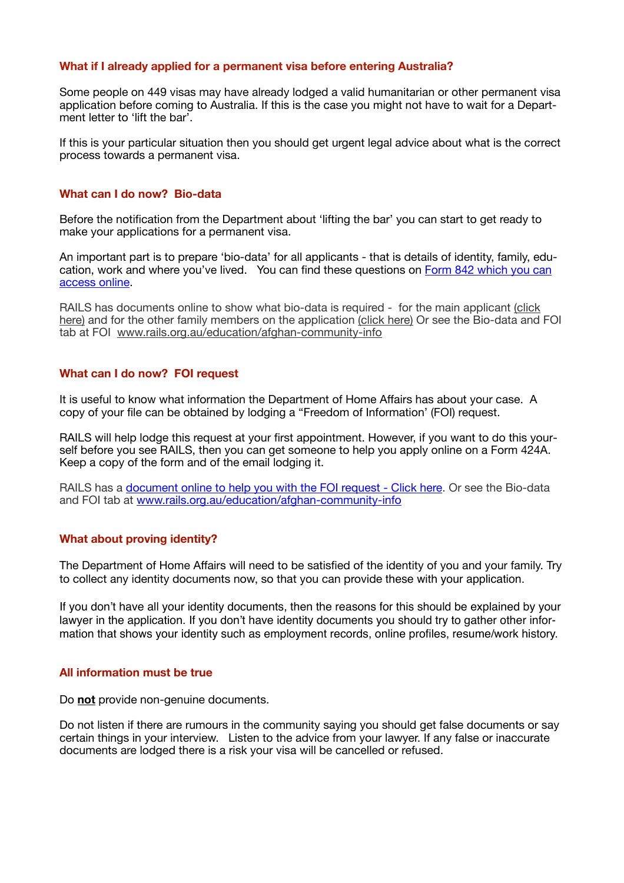#### **What if I already applied for a permanent visa before entering Australia?**

Some people on 449 visas may have already lodged a valid humanitarian or other permanent visa application before coming to Australia. If this is the case you might not have to wait for a Department letter to 'lift the bar'.

If this is your particular situation then you should get urgent legal advice about what is the correct process towards a permanent visa.

# **What can I do now? Bio-data**

Before the notification from the Department about 'lifting the bar' you can start to get ready to make your applications for a permanent visa.

An important part is to prepare 'bio-data' for all applicants - that is details of identity, family, education, work and where you've lived. You can find these questions on [Form 842 which you can](https://immi.homeaffairs.gov.au/form-listing/forms/842.pdf)  [access online.](https://immi.homeaffairs.gov.au/form-listing/forms/842.pdf)

RAILS has documents online to show what bio-data is required - for the main applicant [\(click](https://www.rails.org.au/sites/default/files/2022-01/new%201-Attachment%20to%20form%20842%20Main%20applicant_0.pdf)  [here\)](https://www.rails.org.au/sites/default/files/2022-01/new%201-Attachment%20to%20form%20842%20Main%20applicant_0.pdf) and for the other family members on the application [\(click here\)](https://www.rails.org.au/sites/default/files/2022-01/new-Attachment%20to%20Form%20842%20-%20secondary%20applicant.pdf) Or see the Bio-data and FOI tab at FOI [www.rails.org.au/education/afghan-community-info](http://www.rails.org.au/education/afghan-community-info)

#### **What can I do now? FOI request**

It is useful to know what information the Department of Home Affairs has about your case. A copy of your file can be obtained by lodging a "Freedom of Information' (FOI) request.

RAILS will help lodge this request at your first appointment. However, if you want to do this yourself before you see RAILS, then you can get someone to help you apply online on a Form 424A. Keep a copy of the form and of the email lodging it.

RAILS has a [document online to help you with the FOI request - Click here.](https://www.rails.org.au/sites/default/files/2022-01/Template%20FOI%20form.pdf) Or see the Bio-data and FOI tab at [www.rails.org.au/education/afghan-community-info](http://www.rails.org.au/education/afghan-community-info)

#### **What about proving identity?**

The Department of Home Affairs will need to be satisfied of the identity of you and your family. Try to collect any identity documents now, so that you can provide these with your application.

If you don't have all your identity documents, then the reasons for this should be explained by your lawyer in the application. If you don't have identity documents you should try to gather other information that shows your identity such as employment records, online profiles, resume/work history.

#### **All information must be true**

Do **not** provide non-genuine documents.

Do not listen if there are rumours in the community saying you should get false documents or say certain things in your interview. Listen to the advice from your lawyer. If any false or inaccurate documents are lodged there is a risk your visa will be cancelled or refused.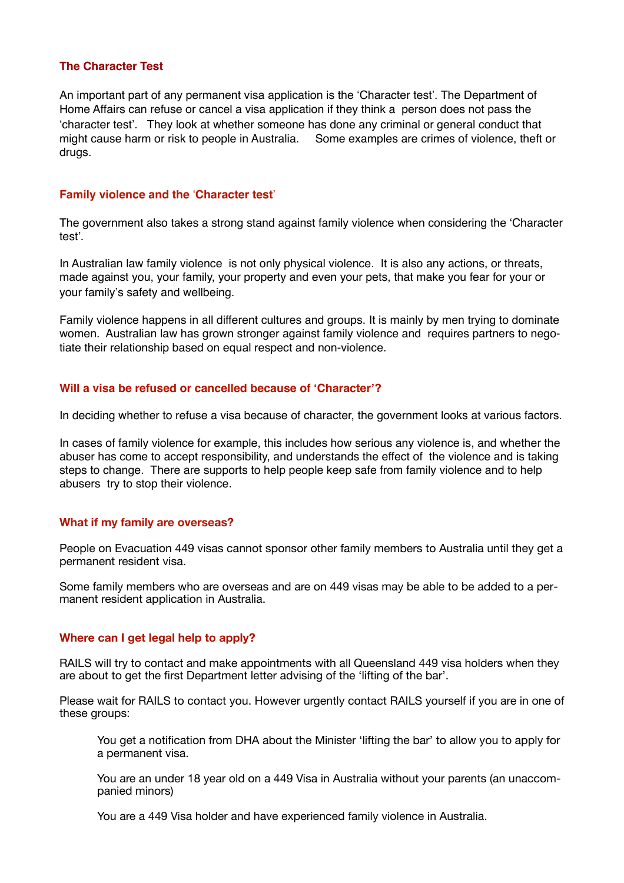# **The Character Test**

An important part of any permanent visa application is the 'Character test'. The Department of Home Affairs can refuse or cancel a visa application if they think a person does not pass the !character test". They look at whether someone has done any criminal or general conduct that might cause harm or risk to people in Australia. Some examples are crimes of violence, theft or drugs.

# **Family violence and the** !**Character test**"

The government also takes a strong stand against family violence when considering the 'Character test'.

In Australian law family violence is not only physical violence. It is also any actions, or threats, made against you, your family, your property and even your pets, that make you fear for your or your family"s safety and wellbeing.

Family violence happens in all different cultures and groups. It is mainly by men trying to dominate women. Australian law has grown stronger against family violence and requires partners to negotiate their relationship based on equal respect and non-violence.

## **Will a visa be refused or cancelled because of 'Character'?**

In deciding whether to refuse a visa because of character, the government looks at various factors.

In cases of family violence for example, this includes how serious any violence is, and whether the abuser has come to accept responsibility, and understands the effect of the violence and is taking steps to change. There are supports to help people keep safe from family violence and to help abusers try to stop their violence.

#### **What if my family are overseas?**

People on Evacuation 449 visas cannot sponsor other family members to Australia until they get a permanent resident visa.

Some family members who are overseas and are on 449 visas may be able to be added to a permanent resident application in Australia.

#### **Where can I get legal help to apply?**

RAILS will try to contact and make appointments with all Queensland 449 visa holders when they are about to get the first Department letter advising of the 'lifting of the bar'.

Please wait for RAILS to contact you. However urgently contact RAILS yourself if you are in one of these groups:

You get a notification from DHA about the Minister 'lifting the bar' to allow you to apply for a permanent visa.

You are an under 18 year old on a 449 Visa in Australia without your parents (an unaccompanied minors)

You are a 449 Visa holder and have experienced family violence in Australia.